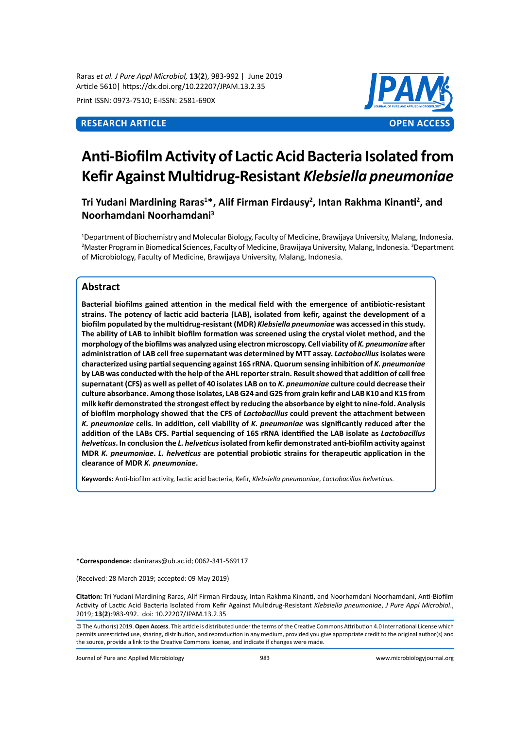Raras *et al. J Pure Appl Microbiol,* **13**(**2**), 983-992 | June 2019 Article 5610| https://dx.doi.org/10.22207/JPAM.13.2.35

Print ISSN: 0973-7510; E-ISSN: 2581-690X



# **Anti-Biofilm Activity of Lactic Acid Bacteria Isolated from Kefir Against Multidrug-Resistant** *Klebsiella pneumoniae*

**Tri Yudani Mardining Raras<sup>1</sup> \*, Alif Firman Firdausy<sup>2</sup> , Intan Rakhma Kinanti<sup>2</sup> , and Noorhamdani Noorhamdani<sup>3</sup>**

1 Department of Biochemistry and Molecular Biology, Faculty of Medicine, Brawijaya University, Malang, Indonesia. <sup>2</sup>Master Program in Biomedical Sciences, Faculty of Medicine, Brawijaya University, Malang, Indonesia. <sup>3</sup>Department of Microbiology, Faculty of Medicine, Brawijaya University, Malang, Indonesia.

# **Abstract**

**Bacterial biofilms gained attention in the medical field with the emergence of antibiotic-resistant strains. The potency of lactic acid bacteria (LAB), isolated from kefir, against the development of a biofilm populated by the multidrug-resistant (MDR)** *Klebsiella pneumoniae* **was accessed in this study. The ability of LAB to inhibit biofilm formation was screened using the crystal violet method, and the morphology of the biofilms was analyzed using electron microscopy. Cell viability of** *K. pneumoniae* **after administration of LAB cell free supernatant was determined by MTT assay.** *Lactobacillus* **isolates were characterized using partial sequencing against 16S rRNA. Quorum sensing inhibition of** *K. pneumoniae* **by LAB was conducted with the help of the AHL reporter strain. Result showed that addition of cell free supernatant (CFS) as well as pellet of 40 isolates LAB on to** *K. pneumoniae* **culture could decrease their culture absorbance. Among those isolates, LAB G24 and G25 from grain kefir and LAB K10 and K15 from milk kefir demonstrated the strongest effect by reducing the absorbance by eight to nine-fold. Analysis of biofilm morphology showed that the CFS of** *Lactobacillus* **could prevent the attachment between**  *K. pneumoniae* **cells. In addition, cell viability of** *K. pneumoniae* **was significantly reduced after the addition of the LABs CFS. Partial sequencing of 16S rRNA identified the LAB isolate as** *Lactobacillus helveticus***. In conclusion the** *L. helveticus* **isolated from kefir demonstrated anti-biofilm activity against MDR** *K. pneumoniae***.** *L. helveticus* **are potential probiotic strains for therapeutic application in the clearance of MDR** *K. pneumoniae***.**

**Keywords:** Anti-biofilm activity, lactic acid bacteria, Kefir, *Klebsiella pneumoniae*, *Lactobacillus helveticus.*

**\*Correspondence:** daniraras@ub.ac.id; 0062-341-569117

(Received: 28 March 2019; accepted: 09 May 2019)

**Citation:** Tri Yudani Mardining Raras, Alif Firman Firdausy, Intan Rakhma Kinanti, and Noorhamdani Noorhamdani, Anti-Biofilm Activity of Lactic Acid Bacteria Isolated from Kefir Against Multidrug-Resistant *Klebsiella pneumoniae*, *J Pure Appl Microbiol*., 2019; **13**(**2**):983-992. doi: 10.22207/JPAM.13.2.35

© The Author(s) 2019. **Open Access**. This article is distributed under the terms of the Creative Commons Attribution 4.0 International License which permits unrestricted use, sharing, distribution, and reproduction in any medium, provided you give appropriate credit to the original author(s) and the source, provide a link to the Creative Commons license, and indicate if changes were made.

Journal of Pure and Applied Microbiology 983 www.microbiologyjournal.org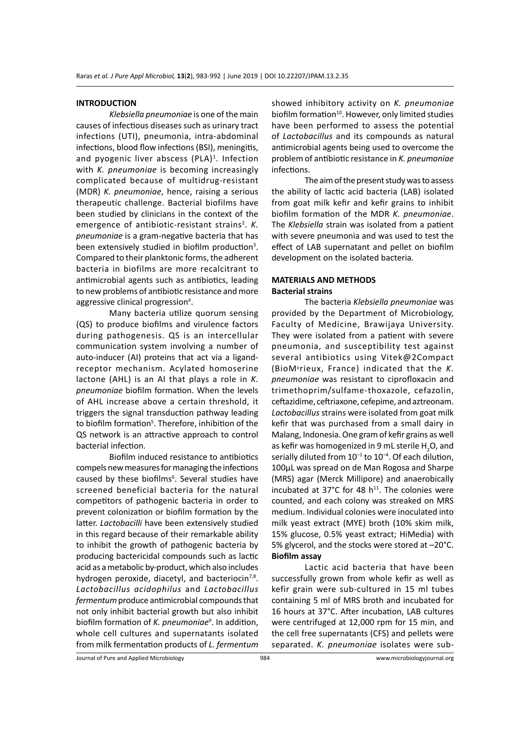#### **INTRODUCTION**

*Klebsiella pneumoniae* is one of the main causes of infectious diseases such as urinary tract infections (UTI), pneumonia, intra-abdominal infections, blood flow infections (BSI), meningitis, and pyogenic liver abscess (PLA)<sup>1</sup>. Infection with *K. pneumoniae* is becoming increasingly complicated because of multidrug-resistant (MDR) *K. pneumoniae*, hence, raising a serious therapeutic challenge. Bacterial biofilms have been studied by clinicians in the context of the emergence of antibiotic-resistant strains<sup>2</sup>. K. *pneumoniae* is a gram-negative bacteria that has been extensively studied in biofilm production<sup>3</sup>. Compared to their planktonic forms, the adherent bacteria in biofilms are more recalcitrant to antimicrobial agents such as antibiotics, leading to new problems of antibiotic resistance and more aggressive clinical progression<sup>4</sup>.

Many bacteria utilize quorum sensing (QS) to produce biofilms and virulence factors during pathogenesis. QS is an intercellular communication system involving a number of auto-inducer (AI) proteins that act via a ligandreceptor mechanism. Acylated homoserine lactone (AHL) is an AI that plays a role in *K. pneumoniae* biofilm formation. When the levels of AHL increase above a certain threshold, it triggers the signal transduction pathway leading to biofilm formation<sup>5</sup>. Therefore, inhibition of the QS network is an attractive approach to control bacterial infection.

Biofilm induced resistance to antibiotics compels new measures for managing the infections caused by these biofilms<sup>6</sup>. Several studies have screened beneficial bacteria for the natural competitors of pathogenic bacteria in order to prevent colonization or biofilm formation by the latter. *Lactobacilli* have been extensively studied in this regard because of their remarkable ability to inhibit the growth of pathogenic bacteria by producing bactericidal compounds such as lactic acid as a metabolic by-product, which also includes hydrogen peroxide, diacetyl, and bacteriocin<sup>7,8</sup>. *Lactobacillus acidophilus* and *Lactobacillus fermentum* produce antimicrobial compounds that not only inhibit bacterial growth but also inhibit biofilm formation of *K. pneumoniae*<sup>9</sup> . In addition, whole cell cultures and supernatants isolated from milk fermentation products of *L. fermentum*

showed inhibitory activity on *K. pneumoniae* biofilm formation<sup>10</sup>. However, only limited studies have been performed to assess the potential of *Lactobacillus* and its compounds as natural antimicrobial agents being used to overcome the problem of antibiotic resistance in *K. pneumoniae* infections.

The aim of the present study was to assess the ability of lactic acid bacteria (LAB) isolated from goat milk kefir and kefir grains to inhibit biofilm formation of the MDR *K. pneumoniae*. The *Klebsiella* strain was isolated from a patient with severe pneumonia and was used to test the effect of LAB supernatant and pellet on biofilm development on the isolated bacteria.

# **MATERIALS AND METHODS Bacterial strains**

The bacteria *Klebsiella pneumoniae* was provided by the Department of Microbiology, Faculty of Medicine, Brawijaya University. They were isolated from a patient with severe pneumonia, and susceptibility test against several antibiotics using Vitek@2Compact (BioMיrieux, France) indicated that the *K. pneumoniae* was resistant to ciprofloxacin and trimethoprim/sulfame-thoxazole, cefazolin, ceftazidime, ceftriaxone, cefepime, and aztreonam. *Lactobacillus* strains were isolated from goat milk kefir that was purchased from a small dairy in Malang, Indonesia. One gram of kefir grains as well as kefir was homogenized in 9 mL sterile H<sub>2</sub>O, and serially diluted from  $10^{-1}$  to  $10^{-4}$ . Of each dilution, 100µL was spread on de Man Rogosa and Sharpe (MRS) agar (Merck Millipore) and anaerobically incubated at 37°C for 48  $h^{11}$ . The colonies were counted, and each colony was streaked on MRS medium. Individual colonies were inoculated into milk yeast extract (MYE) broth (10% skim milk, 15% glucose, 0.5% yeast extract; HiMedia) with 5% glycerol, and the stocks were stored at –20°C. **Biofilm assay**

Lactic acid bacteria that have been successfully grown from whole kefir as well as kefir grain were sub-cultured in 15 ml tubes containing 5 ml of MRS broth and incubated for 16 hours at 37°C. After incubation, LAB cultures were centrifuged at 12,000 rpm for 15 min, and the cell free supernatants (CFS) and pellets were separated. *K. pneumoniae* isolates were sub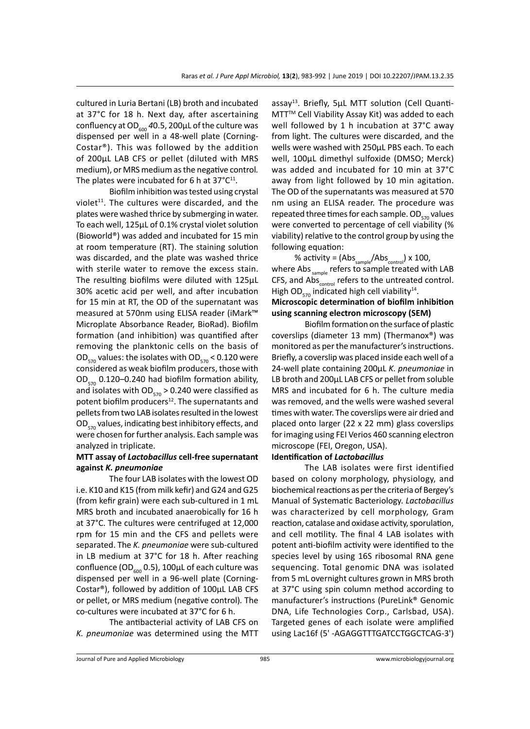cultured in Luria Bertani (LB) broth and incubated at 37°C for 18 h. Next day, after ascertaining confluency at  $OD_{600}$  40.5, 200 $\mu$ L of the culture was dispensed per well in a 48-well plate (Corning-Costar®). This was followed by the addition of 200µL LAB CFS or pellet (diluted with MRS medium), or MRS medium as the negative control*.*  The plates were incubated for 6 h at  $37^{\circ}C^{11}$ .

Biofilm inhibition was tested using crystal violet $11$ . The cultures were discarded, and the plates were washed thrice by submerging in water. To each well, 125µL of 0.1% crystal violet solution (Bioworld®) was added and incubated for 15 min at room temperature (RT). The staining solution was discarded, and the plate was washed thrice with sterile water to remove the excess stain. The resulting biofilms were diluted with 125µL 30% acetic acid per well, and after incubation for 15 min at RT, the OD of the supernatant was measured at 570nm using ELISA reader (iMark™ Microplate Absorbance Reader, BioRad). Biofilm formation (and inhibition) was quantified after removing the planktonic cells on the basis of OD<sub>570</sub> values: the isolates with OD<sub>570</sub> < 0.120 were considered as weak biofilm producers, those with  $OD_{570}$  0.120–0.240 had biofilm formation ability, and isolates with OD $_{570}$  > 0.240 were classified as potent biofilm producers<sup>12</sup>. The supernatants and pellets from two LAB isolates resulted in the lowest  $OD_{570}$  values, indicating best inhibitory effects, and were chosen for further analysis. Each sample was analyzed in triplicate.

# **MTT assay of** *Lactobacillus* **cell-free supernatant against** *K. pneumoniae*

The four LAB isolates with the lowest OD i.e. K10 and K15 (from milk kefir) and G24 and G25 (from kefir grain) were each sub-cultured in 1 mL MRS broth and incubated anaerobically for 16 h at 37°C. The cultures were centrifuged at 12,000 rpm for 15 min and the CFS and pellets were separated. The *K. pneumoniae* were sub-cultured in LB medium at 37°C for 18 h. After reaching confluence (OD $_{600}$  0.5), 100 $\mu$ L of each culture was dispensed per well in a 96-well plate (Corning-Costar®), followed by addition of 100µL LAB CFS or pellet, or MRS medium (negative control)*.* The co-cultures were incubated at 37°C for 6 h.

The antibacterial activity of LAB CFS on *K. pneumoniae* was determined using the MTT

assay<sup>13</sup>. Briefly, 5µL MTT solution (Cell Quanti-MTT<sup>™</sup> Cell Viability Assay Kit) was added to each well followed by 1 h incubation at 37°C away from light. The cultures were discarded, and the wells were washed with 250µL PBS each. To each well, 100µL dimethyl sulfoxide (DMSO; Merck) was added and incubated for 10 min at 37°C away from light followed by 10 min agitation. The OD of the supernatants was measured at 570 nm using an ELISA reader. The procedure was repeated three times for each sample.  $OD_{570}$  values were converted to percentage of cell viability (% viability) relative to the control group by using the following equation:

% activity =  $(Abs_{\text{sample}}/Abs_{\text{control}}) \times 100$ , where Abs  $_{sample}$  refers to sample treated with LAB CFS, and Abs<sub>control</sub> refers to the untreated control. High OD<sub>570</sub> indicated high cell viability<sup>14</sup>. **Microscopic determination of biofilm inhibition using scanning electron microscopy (SEM)**

Biofilm formation on the surface of plastic coverslips (diameter 13 mm) (Thermanox®) was monitored as per the manufacturer's instructions. Briefly, a coverslip was placed inside each well of a 24-well plate containing 200µL *K. pneumoniae* in LB broth and 200µL LAB CFS or pellet from soluble MRS and incubated for 6 h. The culture media was removed, and the wells were washed several times with water. The coverslips were air dried and placed onto larger (22 x 22 mm) glass coverslips for imaging using FEI Verios 460 scanning electron microscope (FEI, Oregon, USA).

# **Identification of** *Lactobacillus*

The LAB isolates were first identified based on colony morphology, physiology, and biochemical reactions as per the criteria of Bergey's Manual of Systematic Bacteriology. *Lactobacillus* was characterized by cell morphology, Gram reaction, catalase and oxidase activity, sporulation, and cell motility. The final 4 LAB isolates with potent anti-biofilm activity were identified to the species level by using 16S ribosomal RNA gene sequencing. Total genomic DNA was isolated from 5 mL overnight cultures grown in MRS broth at 37°C using spin column method according to manufacturer's instructions (PureLink® Genomic DNA, Life Technologies Corp., Carlsbad, USA). Targeted genes of each isolate were amplified using Lac16f (5' -AGAGGTTTGATCCTGGCTCAG-3')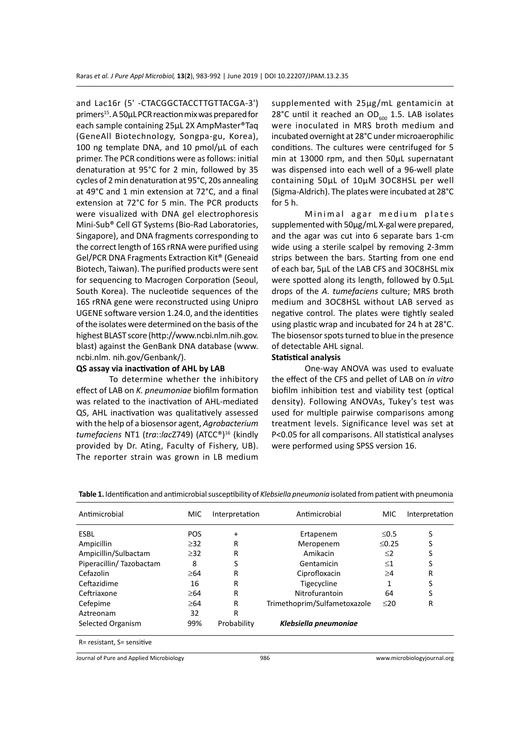and Lac16r (5' -CTACGGCTACCTTGTTACGA-3') primers<sup>15</sup>. A 50<sub>µ</sub>L PCR reaction mix was prepared for each sample containing 25µL 2X AmpMaster®Taq (GeneAll Biotechnology, Songpa-gu, Korea), 100 ng template DNA, and 10 pmol/ $\mu$ L of each primer. The PCR conditions were as follows: initial denaturation at 95°C for 2 min, followed by 35 cycles of 2 min denaturation at 95°C, 20s annealing at 49°C and 1 min extension at 72°C, and a final extension at 72°C for 5 min. The PCR products were visualized with DNA gel electrophoresis Mini-Sub® Cell GT Systems (Bio-Rad Laboratories, Singapore), and DNA fragments corresponding to the correct length of 16S rRNA were purified using Gel/PCR DNA Fragments Extraction Kit® (Geneaid Biotech, Taiwan). The purified products were sent for sequencing to Macrogen Corporation (Seoul, South Korea). The nucleotide sequences of the 16S rRNA gene were reconstructed using Unipro UGENE software version 1.24.0, and the identities of the isolates were determined on the basis of the highest BLAST score (http://www.ncbi.nlm.nih.gov. blast) against the GenBank DNA database (www. ncbi.nlm. nih.gov/Genbank/).

### **QS assay via inactivation of AHL by LAB**

To determine whether the inhibitory effect of LAB on *K. pneumoniae* biofilm formation was related to the inactivation of AHL-mediated QS, AHL inactivation was qualitatively assessed with the help of a biosensor agent, *Agrobacterium tumefaciens* NT1 (*tra*::*lac*Z749) (ATCC®)16 (kindly provided by Dr. Ating, Faculty of Fishery, UB). The reporter strain was grown in LB medium supplemented with 25µg/mL gentamicin at 28°C until it reached an OD $_{600}$  1.5. LAB isolates were inoculated in MRS broth medium and incubated overnight at 28°C under microaerophilic conditions. The cultures were centrifuged for 5 min at 13000 rpm, and then 50µL supernatant was dispensed into each well of a 96-well plate containing 50µL of 10µM 3OC8HSL per well (Sigma-Aldrich). The plates were incubated at 28°C for 5 h.

Minimal agar medium plates supplemented with 50µg/mL X-gal were prepared, and the agar was cut into 6 separate bars 1-cm wide using a sterile scalpel by removing 2-3mm strips between the bars. Starting from one end of each bar, 5µL of the LAB CFS and 3OC8HSL mix were spotted along its length, followed by 0.5µL drops of the *A. tumefaciens* culture; MRS broth medium and 3OC8HSL without LAB served as negative control. The plates were tightly sealed using plastic wrap and incubated for 24 h at 28°C. The biosensor spots turned to blue in the presence of detectable AHL signal.

# **Statistical analysis**

One-way ANOVA was used to evaluate the effect of the CFS and pellet of LAB on *in vitro*  biofilm inhibition test and viability test (optical density). Following ANOVAs, Tukey's test was used for multiple pairwise comparisons among treatment levels. Significance level was set at P<0.05 for all comparisons. All statistical analyses were performed using SPSS version 16.

| Antimicrobial              | <b>MIC</b> | Interpretation | Antimicrobial                | <b>MIC</b>  | Interpretation |
|----------------------------|------------|----------------|------------------------------|-------------|----------------|
| <b>ESBL</b>                | <b>POS</b> | $\ddot{}$      | Ertapenem                    | $\leq 0.5$  | S              |
| Ampicillin                 | $\geq$ 32  | R              | Meropenem                    | $\leq$ 0.25 | S              |
| Ampicillin/Sulbactam       | $\geq$ 32  | R              | Amikacin                     | $\leq$ 2    | S              |
| Piperacillin/Tazobactam    | 8          | S              | Gentamicin                   | $\leq1$     | S              |
| Cefazolin                  | $\geq 64$  | R              | Ciprofloxacin                | $\geq 4$    | R              |
| Ceftazidime                | 16         | R              | Tigecycline                  | 1           | S              |
| Ceftriaxone                | $\geq 64$  | R              | Nitrofurantoin               | 64          | S              |
| Cefepime                   | $\geq 64$  | R              | Trimethoprim/Sulfametoxazole | $≤20$       | R              |
| Aztreonam                  | 32         | R              |                              |             |                |
| Selected Organism          | 99%        | Probability    | Klebsiella pneumoniae        |             |                |
| R= resistant, S= sensitive |            |                |                              |             |                |

**Table 1.** Identification and antimicrobial susceptibility of *Klebsiella pneumonia* isolated from patient with pneumonia

Journal of Pure and Applied Microbiology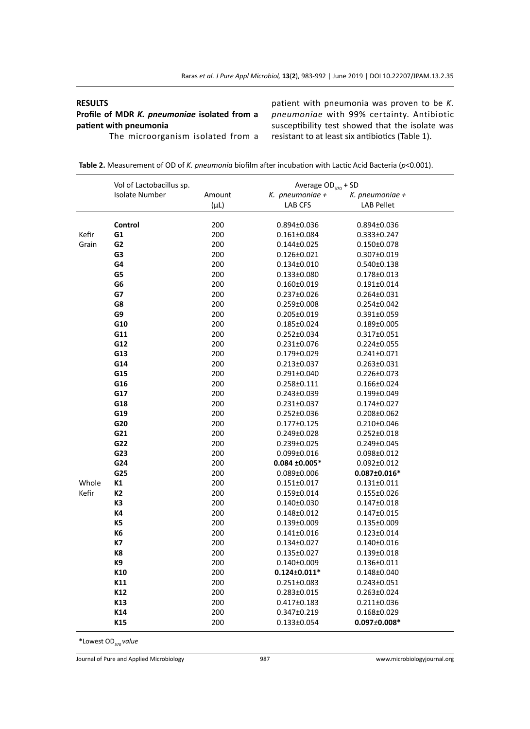# **RESULTS**

**Profile of MDR** *K. pneumoniae* **isolated from a patient with pneumonia**

The microorganism isolated from a

patient with pneumonia was proven to be *K. pneumoniae* with 99% certainty. Antibiotic susceptibility test showed that the isolate was resistant to at least six antibiotics (Table 1).

| Table 2. Measurement of OD of K. pneumonia biofilm after incubation with Lactic Acid Bacteria ( $p$ <0.001). |  |  |  |
|--------------------------------------------------------------------------------------------------------------|--|--|--|
|--------------------------------------------------------------------------------------------------------------|--|--|--|

|       | Vol of Lactobacillus sp. |           | Average OD <sub>570</sub> + SD |                    |  |
|-------|--------------------------|-----------|--------------------------------|--------------------|--|
|       | <b>Isolate Number</b>    | Amount    | K. pneumoniae +                | K. pneumoniae +    |  |
|       |                          | $(\mu L)$ | <b>LAB CFS</b>                 | <b>LAB Pellet</b>  |  |
|       |                          |           |                                |                    |  |
|       | Control                  | 200       | $0.894 \pm 0.036$              | $0.894 \pm 0.036$  |  |
| Kefir | G1                       | 200       | $0.161 \pm 0.084$              | 0.333±0.247        |  |
| Grain | G2                       | 200       | $0.144 \pm 0.025$              | $0.150 \pm 0.078$  |  |
|       | G3                       | 200       | 0.126±0.021                    | 0.307±0.019        |  |
|       | G4                       | 200       | $0.134 \pm 0.010$              | $0.540 \pm 0.138$  |  |
|       | G5                       | 200       | $0.133 \pm 0.080$              | $0.178 \pm 0.013$  |  |
|       | G6                       | 200       | $0.160 \pm 0.019$              | $0.191 \pm 0.014$  |  |
|       | G7                       | 200       | $0.237 \pm 0.026$              | $0.264 \pm 0.031$  |  |
|       | G8                       | 200       | $0.259 \pm 0.008$              | 0.254±0.042        |  |
|       | G9                       | 200       | $0.205 \pm 0.019$              | $0.391 \pm 0.059$  |  |
|       | G10                      | 200       | 0.185±0.024                    | $0.189 \pm 0.005$  |  |
|       | G11                      | 200       | 0.252±0.034                    | 0.317±0.051        |  |
|       | G12                      | 200       | $0.231 \pm 0.076$              | $0.224 \pm 0.055$  |  |
|       | G13                      | 200       | 0.179±0.029                    | $0.241 \pm 0.071$  |  |
|       | G14                      | 200       | $0.213 \pm 0.037$              | $0.263 \pm 0.031$  |  |
|       | G15                      | 200       | $0.291 \pm 0.040$              | $0.226 \pm 0.073$  |  |
|       | G16                      | 200       | $0.258 \pm 0.111$              | 0.166±0.024        |  |
|       | G17                      | 200       | $0.243 \pm 0.039$              | $0.199 \pm 0.049$  |  |
|       | G18                      | 200       | $0.231 \pm 0.037$              | 0.174±0.027        |  |
|       | G19                      | 200       | $0.252 \pm 0.036$              | $0.208 \pm 0.062$  |  |
|       | G20                      | 200       | $0.177 \pm 0.125$              | $0.210 \pm 0.046$  |  |
|       | G21                      | 200       | $0.249 \pm 0.028$              | $0.252 \pm 0.018$  |  |
|       | G22                      | 200       | 0.239±0.025                    | $0.249 \pm 0.045$  |  |
|       | G23                      | 200       | $0.099 \pm 0.016$              | $0.098 \pm 0.012$  |  |
|       | G24                      | 200       | $0.084 + 0.005*$               | $0.092 \pm 0.012$  |  |
|       | G25                      | 200       | $0.089 \pm 0.006$              | $0.087 \pm 0.016*$ |  |
| Whole | К1                       | 200       | $0.151 \pm 0.017$              | $0.131 \pm 0.011$  |  |
| Kefir | K2                       | 200       | $0.159 \pm 0.014$              | 0.155±0.026        |  |
|       | K3                       | 200       | $0.140 \pm 0.030$              | $0.147 \pm 0.018$  |  |
|       | K4                       | 200       | $0.148 \pm 0.012$              | $0.147 \pm 0.015$  |  |
|       | K5                       | 200       | $0.139 \pm 0.009$              | 0.135±0.009        |  |
|       | K6                       | 200       | $0.141 \pm 0.016$              | $0.123 \pm 0.014$  |  |
|       | К7                       | 200       | $0.134 \pm 0.027$              | $0.140 \pm 0.016$  |  |
|       | K8                       | 200       | $0.135 \pm 0.027$              | $0.139 \pm 0.018$  |  |
|       | K9                       | 200       | $0.140 \pm 0.009$              | 0.136±0.011        |  |
|       | K10                      | 200       | $0.124 \pm 0.011^{*}$          | 0.148±0.040        |  |
|       | K11                      | 200       | $0.251 \pm 0.083$              | $0.243 \pm 0.051$  |  |
|       | K12                      | 200       | $0.283 \pm 0.015$              | 0.263±0.024        |  |
|       | K13                      | 200       | $0.417 \pm 0.183$              | $0.211 \pm 0.036$  |  |
|       | K14                      | 200       | 0.347±0.219                    | 0.168±0.029        |  |
|       | K15                      | 200       | $0.133 \pm 0.054$              | $0.097 \pm 0.008*$ |  |
|       |                          |           |                                |                    |  |

**\***Lowest OD*570 value*

Journal of Pure and Applied Microbiology 987 www.microbiologyjournal.org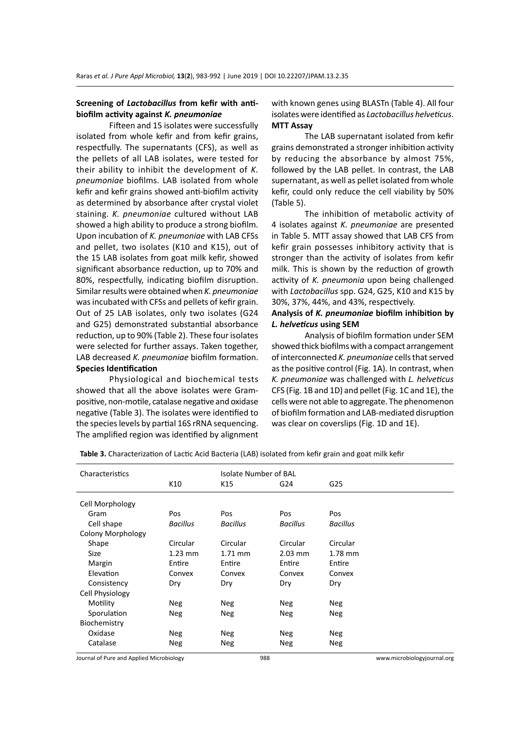# **Screening of** *Lactobacillus* **from kefir with antibiofilm activity against** *K. pneumoniae*

Fifteen and 15 isolates were successfully isolated from whole kefir and from kefir grains, respectfully. The supernatants (CFS), as well as the pellets of all LAB isolates, were tested for their ability to inhibit the development of *K. pneumoniae* biofilms. LAB isolated from whole kefir and kefir grains showed anti-biofilm activity as determined by absorbance after crystal violet staining. *K. pneumoniae* cultured without LAB showed a high ability to produce a strong biofilm. Upon incubation of *K. pneumoniae* with LAB CFSs and pellet, two isolates (K10 and K15), out of the 15 LAB isolates from goat milk kefir, showed significant absorbance reduction, up to 70% and 80%, respectfully, indicating biofilm disruption. Similar results were obtained when *K. pneumoniae* was incubated with CFSs and pellets of kefir grain. Out of 25 LAB isolates, only two isolates (G24 and G25) demonstrated substantial absorbance reduction, up to 90% (Table 2). These four isolates were selected for further assays. Taken together, LAB decreased *K. pneumoniae* biofilm formation. **Species Identification** 

Physiological and biochemical tests showed that all the above isolates were Grampositive, non-motile, catalase negative and oxidase negative (Table 3). The isolates were identified to the species levels by partial 16S rRNA sequencing. The amplified region was identified by alignment with known genes using BLASTn (Table 4). All four isolates were identified as *Lactobacillus helveticus*. **MTT Assay** 

The LAB supernatant isolated from kefir grains demonstrated a stronger inhibition activity by reducing the absorbance by almost 75%, followed by the LAB pellet. In contrast, the LAB supernatant, as well as pellet isolated from whole kefir, could only reduce the cell viability by 50% (Table 5).

The inhibition of metabolic activity of 4 isolates against *K. pneumoniae* are presented in Table 5. MTT assay showed that LAB CFS from kefir grain possesses inhibitory activity that is stronger than the activity of isolates from kefir milk. This is shown by the reduction of growth activity of *K. pneumonia* upon being challenged with *Lactobacillus* spp. G24, G25, K10 and K15 by 30%, 37%, 44%, and 43%, respectively.

# **Analysis of** *K. pneumoniae* **biofilm inhibition by**  *L. helveticus* **using SEM**

Analysis of biofilm formation under SEM showed thick biofilms with a compact arrangement of interconnected *K. pneumoniae* cells that served as the positive control (Fig. 1A). In contrast, when *K. pneumoniae* was challenged with *L. helveticus* CFS (Fig. 1B and 1D) and pellet (Fig. 1C and 1E), the cells were not able to aggregate. The phenomenon of biofilm formation and LAB-mediated disruption was clear on coverslips (Fig. 1D and 1E).

| Characteristics          |                 | Isolate Number of BAL |                 |                 |
|--------------------------|-----------------|-----------------------|-----------------|-----------------|
|                          | K10             | K15                   | G24             | G25             |
| Cell Morphology          |                 |                       |                 |                 |
| Gram                     | Pos             | <b>Pos</b>            | Pos             | Pos             |
| Cell shape               | <b>Bacillus</b> | <b>Bacillus</b>       | <b>Bacillus</b> | <b>Bacillus</b> |
| <b>Colony Morphology</b> |                 |                       |                 |                 |
| Shape                    | Circular        | Circular              | Circular        | Circular        |
| <b>Size</b>              | $1.23$ mm       | $1.71$ mm             | $2.03$ mm       | $1.78$ mm       |
| Margin                   | Entire          | Entire                | Entire          | Entire          |
| Elevation                | Convex          | Convex                | Convex          | Convex          |
| Consistency              | Dry             | Dry                   | Dry             | Dry             |
| Cell Physiology          |                 |                       |                 |                 |
| Motility                 | Neg             | <b>Neg</b>            | Neg             | Neg             |
| Sporulation              | Neg             | Neg                   | Neg             | <b>Neg</b>      |
| Biochemistry             |                 |                       |                 |                 |
| Oxidase                  | Neg             | Neg                   | Neg             | <b>Neg</b>      |
| Catalase                 | Neg             | Neg                   | Neg             | Neg             |
|                          |                 |                       |                 |                 |

**Table 3.** Characterization of Lactic Acid Bacteria (LAB) isolated from kefir grain and goat milk kefir

Journal of Pure and Applied Microbiology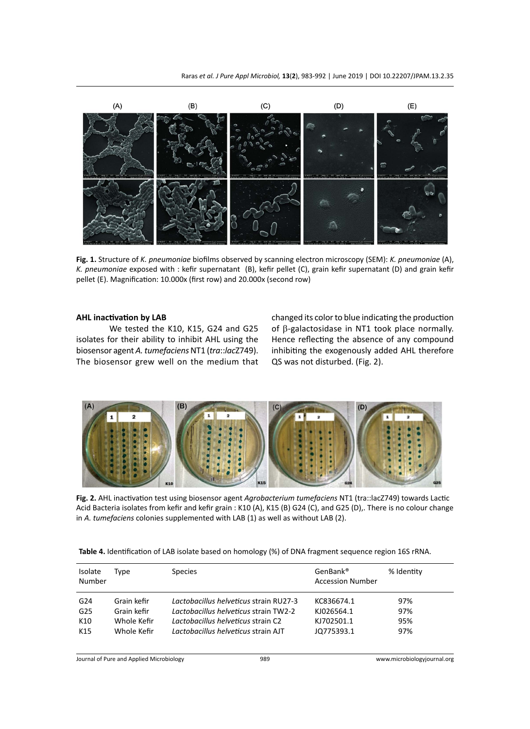

**Fig. 1.** Structure of *K. pneumoniae* biofilms observed by scanning electron microscopy (SEM): *K. pneumoniae* (A), *K. pneumoniae* exposed with : kefir supernatant (B), kefir pellet (C), grain kefir supernatant (D) and grain kefir pellet (E). Magnification: 10.000x (first row) and 20.000x (second row)

### **AHL inactivation by LAB**

We tested the K10, K15, G24 and G25 isolates for their ability to inhibit AHL using the biosensor agent *A. tumefaciens* NT1 (*tra*::*lac*Z749). The biosensor grew well on the medium that changed its color to blue indicating the production of β-galactosidase in NT1 took place normally. Hence reflecting the absence of any compound inhibiting the exogenously added AHL therefore QS was not disturbed. (Fig. 2).



**Fig. 2.** AHL inactivation test using biosensor agent *Agrobacterium tumefaciens* NT1 (tra::lacZ749) towards Lactic Acid Bacteria isolates from kefir and kefir grain : K10 (A), K15 (B) G24 (C), and G25 (D),. There is no colour change in *A. tumefaciens* colonies supplemented with LAB (1) as well as without LAB (2).

|  |  |  | Table 4. Identification of LAB isolate based on homology (%) of DNA fragment sequence region 16S rRNA. |  |
|--|--|--|--------------------------------------------------------------------------------------------------------|--|
|--|--|--|--------------------------------------------------------------------------------------------------------|--|

| Isolate<br>Number | Type        | <b>Species</b>                         | GenBank <sup>®</sup><br><b>Accession Number</b> | % Identity |
|-------------------|-------------|----------------------------------------|-------------------------------------------------|------------|
| G <sub>24</sub>   | Grain kefir | Lactobacillus helveticus strain RU27-3 | KC836674.1                                      | 97%        |
| G <sub>25</sub>   | Grain kefir | Lactobacillus helveticus strain TW2-2  | KJ026564.1                                      | 97%        |
| K10               | Whole Kefir | Lactobacillus helveticus strain C2     | KJ702501.1                                      | 95%        |
| K <sub>15</sub>   | Whole Kefir | Lactobacillus helveticus strain AJT    | JQ775393.1                                      | 97%        |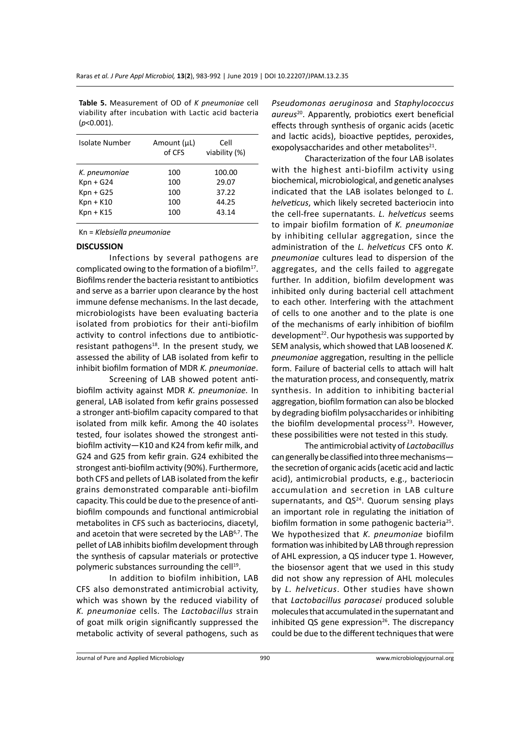**Table 5.** Measurement of OD of *K pneumoniae* cell viability after incubation with Lactic acid bacteria (*p*<0.001).

| Isolate Number | Amount (µL)<br>of CFS | Cell<br>viability (%) |
|----------------|-----------------------|-----------------------|
| K. pneumoniae  | 100                   | 100.00                |
| $Kpn + G24$    | 100                   | 29.07                 |
| $Kpn + G25$    | 100                   | 37.22                 |
| $Kpn + K10$    | 100                   | 44.25                 |
| $Kpn + K15$    | 100                   | 43.14                 |
|                |                       |                       |

Kn = *Klebsiella pneumoniae*

#### **DISCUSSION**

Infections by several pathogens are complicated owing to the formation of a biofilm<sup>17</sup>. Biofilms render the bacteria resistant to antibiotics and serve as a barrier upon clearance by the host immune defense mechanisms. In the last decade, microbiologists have been evaluating bacteria isolated from probiotics for their anti-biofilm activity to control infections due to antibioticresistant pathogens $18$ . In the present study, we assessed the ability of LAB isolated from kefir to inhibit biofilm formation of MDR *K. pneumoniae*.

Screening of LAB showed potent antibiofilm activity against MDR *K. pneumoniae.* In general, LAB isolated from kefir grains possessed a stronger anti-biofilm capacity compared to that isolated from milk kefir. Among the 40 isolates tested, four isolates showed the strongest antibiofilm activity—K10 and K24 from kefir milk, and G24 and G25 from kefir grain. G24 exhibited the strongest anti-biofilm activity (90%). Furthermore, both CFS and pellets of LAB isolated from the kefir grains demonstrated comparable anti-biofilm capacity. This could be due to the presence of antibiofilm compounds and functional antimicrobial metabolites in CFS such as bacteriocins, diacetyl, and acetoin that were secreted by the LAB<sup>6,7</sup>. The pellet of LAB inhibits biofilm development through the synthesis of capsular materials or protective polymeric substances surrounding the cell<sup>19</sup>.

In addition to biofilm inhibition, LAB CFS also demonstrated antimicrobial activity, which was shown by the reduced viability of *K. pneumoniae* cells. The *Lactobacillus* strain of goat milk origin significantly suppressed the metabolic activity of several pathogens, such as *Pseudomonas aeruginosa* and *Staphylococcus aureus*<sup>20</sup>. Apparently, probiotics exert beneficial effects through synthesis of organic acids (acetic and lactic acids), bioactive peptides, peroxides, exopolysaccharides and other metabolites<sup>21</sup>.

Characterization of the four LAB isolates with the highest anti-biofilm activity using biochemical, microbiological, and genetic analyses indicated that the LAB isolates belonged to *L. helveticus*, which likely secreted bacteriocin into the cell-free supernatants. *L. helveticus* seems to impair biofilm formation of *K. pneumoniae* by inhibiting cellular aggregation, since the administration of the *L. helveticus* CFS onto *K. pneumoniae* cultures lead to dispersion of the aggregates, and the cells failed to aggregate further. In addition, biofilm development was inhibited only during bacterial cell attachment to each other. Interfering with the attachment of cells to one another and to the plate is one of the mechanisms of early inhibition of biofilm development<sup>22</sup>. Our hypothesis was supported by SEM analysis, which showed that LAB loosened *K. pneumoniae* aggregation, resulting in the pellicle form. Failure of bacterial cells to attach will halt the maturation process, and consequently, matrix synthesis. In addition to inhibiting bacterial aggregation, biofilm formation can also be blocked by degrading biofilm polysaccharides or inhibiting the biofilm developmental process $23$ . However, these possibilities were not tested in this study.

The antimicrobial activity of *Lactobacillus* can generally be classified into three mechanisms the secretion of organic acids (acetic acid and lactic acid), antimicrobial products, e.g., bacteriocin accumulation and secretion in LAB culture supernatants, and  $QS<sup>24</sup>$ . Quorum sensing plays an important role in regulating the initiation of biofilm formation in some pathogenic bacteria<sup>25</sup>. We hypothesized that *K. pneumoniae* biofilm formation was inhibited by LAB through repression of AHL expression, a QS inducer type 1. However, the biosensor agent that we used in this study did not show any repression of AHL molecules by *L. helveticus*. Other studies have shown that *Lactobacillus paracasei* produced soluble molecules that accumulated in the supernatant and inhibited QS gene expression $^{26}$ . The discrepancy could be due to the different techniques that were

Journal of Pure and Applied Microbiology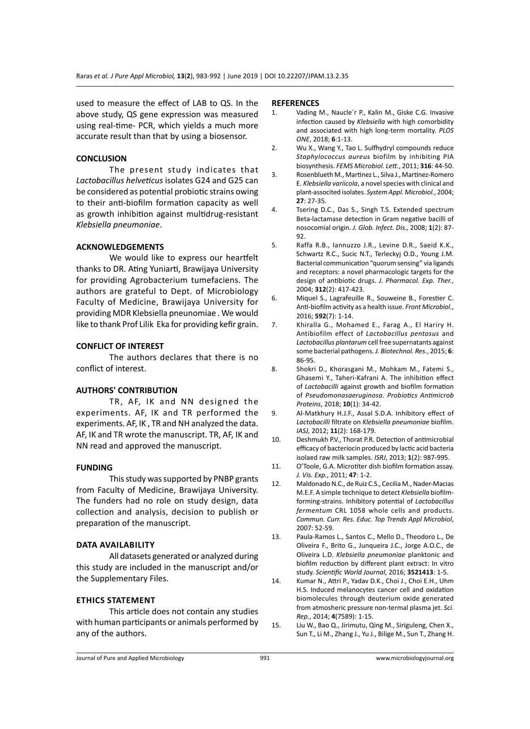used to measure the effect of LAB to QS. In the above study, QS gene expression was measured using real-time- PCR, which yields a much more accurate result than that by using a biosensor.

# **CONCLUSION**

The present study indicates that *Lactobacillus helveticus* isolates G24 and G25 can be considered as potential probiotic strains owing to their anti-biofilm formation capacity as well as growth inhibition against multidrug-resistant *Klebsiella pneumoniae*.

### **ACKNOWLEDGEMENTS**

We would like to express our heartfelt thanks to DR. Ating Yuniarti, Brawijaya University for providing Agrobacterium tumefaciens. The authors are grateful to Dept. of Microbiology Faculty of Medicine, Brawijaya University for providing MDR Klebsiella pneunomiae . We would like to thank Prof Lilik Eka for providing kefir grain.

# **CONFLICT OF INTEREST**

The authors declares that there is no conflict of interest.

#### **AUTHORS' CONTRIBUTION**

TR, AF, IK and NN designed the experiments. AF, IK and TR performed the experiments. AF, IK , TR and NH analyzed the data. AF, IK and TR wrote the manuscript. TR, AF, IK and NN read and approved the manuscript.

#### **FUNDING**

This study was supported by PNBP grants from Faculty of Medicine, Brawijaya University. The funders had no role on study design, data collection and analysis, decision to publish or preparation of the manuscript.

#### **Data availability**

All datasets generated or analyzed during this study are included in the manuscript and/or the Supplementary Files.

# **Ethics Statement**

This article does not contain any studies with human participants or animals performed by any of the authors.

#### **REFERENCES**

- 1. Vading M., Naucle´r P., Kalin M., Giske C.G. Invasive infection caused by *Klebsiella* with high comorbidity and associated with high long-term mortality. *PLOS ONE*, 2018; **6**:1-13.
- 2. Wu X., Wang Y., Tao L. Sulfhydryl compounds reduce *Staphylococcus aureus* biofilm by inhibiting PIA biosynthesis. *FEMS Microbiol. Lett.*, 2011; **316**: 44-50.
- 3. Rosenblueth M., Martinez L., Silva J., Martinez-Romero E. *Klebsiella variicola*, a novel species with clinical and plant-associted isolates. *System Appl. Microbiol.*, 2004; **27**: 27-35.
- 4. Tsering D.C., Das S., Singh T.S. Extended spectrum Beta-lactamase detection in Gram negative bacilli of nosocomial origin. *J. Glob. Infect. Dis.,* 2008; **1**(2): 87- 92.
- 5. Raffa R.B., Iannuzzo J.R., Levine D.R., Saeid K.K., Schwartz R.C., Sucic N.T., Terleckyj O.D., Young J.M. Bacterial communication "quorum sensing" via ligands and receptors: a novel pharmacologic targets for the design of antibiotic drugs. *J. Pharmacol. Exp. Ther.*, 2004; **312**(2): 417-423.
- 6. Miquel S., Lagrafeuille R., Souweine B., Forestier C. Anti-biofilm activity as a health issue. *Front Microbiol.*, 2016; **592**(7): 1-14.
- 7. Khiralla G., Mohamed E., Farag A., El Hariry H. Antibiofilm effect of *Lactobacillus pentosus* and *Lactobacillus plantarum* cell free supernatants against some bacterial pathogens. *J. Biotechnol. Res.*, 2015; **6**: 86-95.
- 8. Shokri D., Khorasgani M., Mohkam M., Fatemi S., Ghasemi Y., Taheri-Kafrani A. The inhibition effect of *Lactobacilli* against growth and biofilm formation of *Pseudomonasaeruginosa*. *Probiotics Antimicrob Proteins*, 2018; **10**(1): 34-42.
- 9. Al-Matkhury H.J.F., Assal S.D.A. Inhibitory effect of *Lactobacilli* filtrate on *Klebsiella pneumoniae* biofilm. *IASJ,* 2012; **11**(2): 168-179.
- 10. Deshmukh P.V., Thorat P.R. Detection of antimicrobial efficacy of bacteriocin produced by lactic acid bacteria isolaed raw milk samples. *ISRJ*, 2013; **1**(2): 987-995.
- 11. O'Toole, G.A. Microtiter dish biofilm formation assay. *J. Vis. Exp.*, 2011; **47**: 1-2.
- 12. Maldonado N.C., de Ruiz C.S., Cecilia M., Nader-Macias M.E.F. A simple technique to detect *Klebsiella* biofilmforming-strains. Inhibitory potential of *Lactobacillus fermentum* CRL 1058 whole cells and products. *Commun. Curr. Res. Educ. Top Trends Appl Microbiol*, 2007: 52-59.
- 13. Paula-Ramos L., Santos C., Mello D., Theodoro L., De Oliveira F., Brito G., Junqueira J.C., Jorge A.O.C., de Oliveira L.D. *Klebsiella pneumoniae* planktonic and biofilm reduction by different plant extract: In vitro study. *Scientific World Journal*, 2016; **3521413**: 1-5.
- 14. Kumar N., Attri P., Yadav D.K., Choi J., Choi E.H., Uhm H.S. Induced melanocytes cancer cell and oxidation biomolecules through deuterium oxide generated from atmosheric pressure non-termal plasma jet. *Sci. Rep.*, 2014; **4**(7589): 1-15.
- 15. Liu W., Bao Q., Jirimutu, Qing M., Siriguleng, Chen X., Sun T., Li M., Zhang J., Yu J., Bilige M., Sun T., Zhang H.